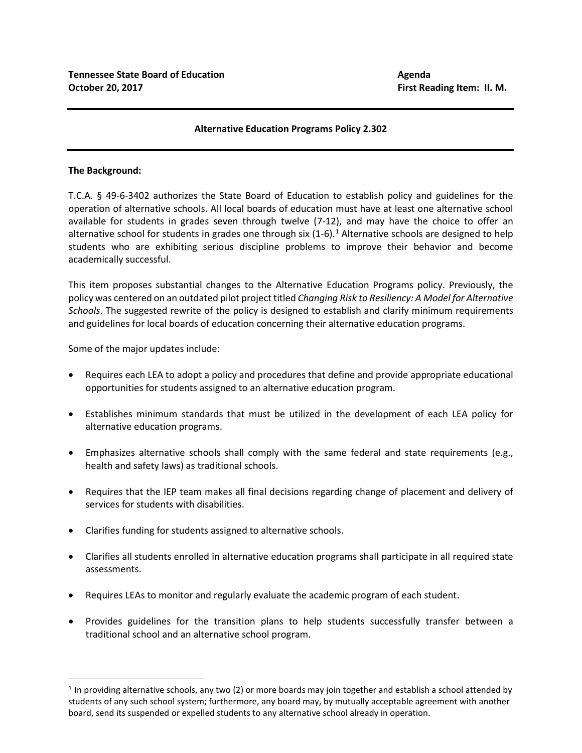## **Alternative Education Programs Policy 2.302**

## **The Background:**

T.C.A. § 49-6-3402 authorizes the State Board of Education to establish policy and guidelines for the operation of alternative schools. All local boards of education must have at least one alternative school available for students in grades seven through twelve (7-12), and may have the choice to offer an alternative school for students in grades one through six  $(1-6)$  $(1-6)$  $(1-6)$ .<sup>1</sup> Alternative schools are designed to help students who are exhibiting serious discipline problems to improve their behavior and become academically successful.

This item proposes substantial changes to the Alternative Education Programs policy. Previously, the policy was centered on an outdated pilot project titled *Changing Risk to Resiliency: A Model for Alternative Schools*. The suggested rewrite of the policy is designed to establish and clarify minimum requirements and guidelines for local boards of education concerning their alternative education programs.

Some of the major updates include:

- Requires each LEA to adopt a policy and procedures that define and provide appropriate educational opportunities for students assigned to an alternative education program.
- Establishes minimum standards that must be utilized in the development of each LEA policy for alternative education programs.
- Emphasizes alternative schools shall comply with the same federal and state requirements (e.g., health and safety laws) as traditional schools.
- Requires that the IEP team makes all final decisions regarding change of placement and delivery of services for students with disabilities.
- Clarifies funding for students assigned to alternative schools.
- Clarifies all students enrolled in alternative education programs shall participate in all required state assessments.
- Requires LEAs to monitor and regularly evaluate the academic program of each student.
- Provides guidelines for the transition plans to help students successfully transfer between a traditional school and an alternative school program.

<span id="page-0-0"></span> $1$  In providing alternative schools, any two (2) or more boards may join together and establish a school attended by students of any such school system; furthermore, any board may, by mutually acceptable agreement with another board, send its suspended or expelled students to any alternative school already in operation.